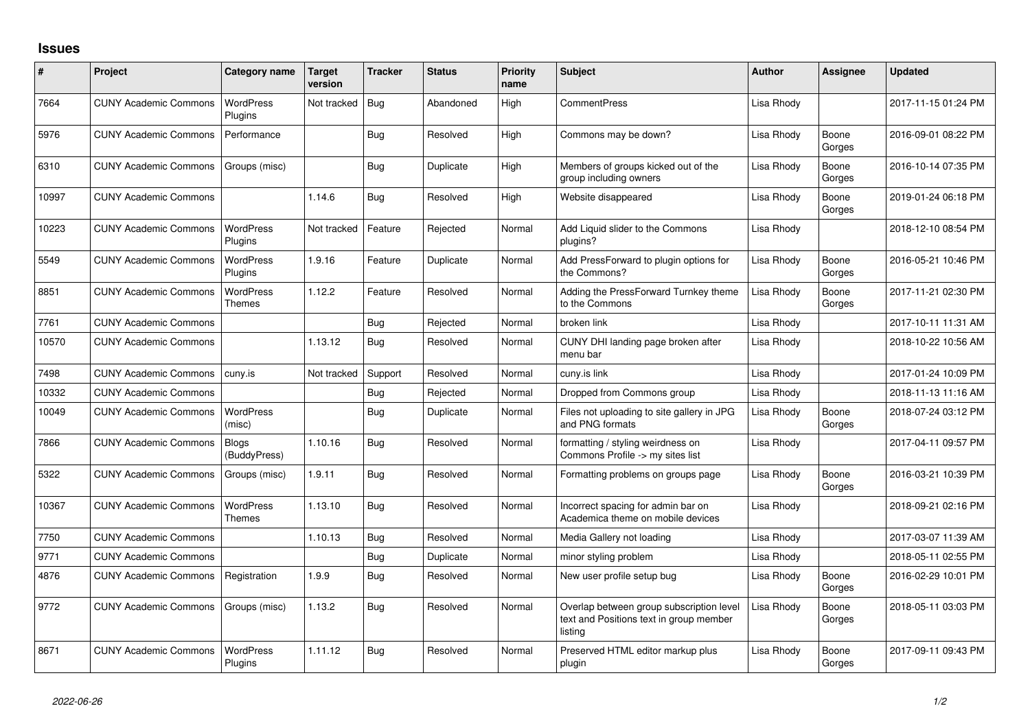## **Issues**

| #     | Project                      | Category name                     | Target<br>version | <b>Tracker</b> | <b>Status</b> | <b>Priority</b><br>name | <b>Subject</b>                                                                                 | <b>Author</b> | <b>Assignee</b> | <b>Updated</b>      |
|-------|------------------------------|-----------------------------------|-------------------|----------------|---------------|-------------------------|------------------------------------------------------------------------------------------------|---------------|-----------------|---------------------|
| 7664  | <b>CUNY Academic Commons</b> | <b>WordPress</b><br>Plugins       | Not tracked       | Bug            | Abandoned     | High                    | <b>CommentPress</b>                                                                            | Lisa Rhody    |                 | 2017-11-15 01:24 PM |
| 5976  | <b>CUNY Academic Commons</b> | Performance                       |                   | Bug            | Resolved      | High                    | Commons may be down?                                                                           | Lisa Rhody    | Boone<br>Gorges | 2016-09-01 08:22 PM |
| 6310  | <b>CUNY Academic Commons</b> | Groups (misc)                     |                   | Bug            | Duplicate     | High                    | Members of groups kicked out of the<br>group including owners                                  | Lisa Rhody    | Boone<br>Gorges | 2016-10-14 07:35 PM |
| 10997 | <b>CUNY Academic Commons</b> |                                   | 1.14.6            | Bug            | Resolved      | High                    | Website disappeared                                                                            | Lisa Rhody    | Boone<br>Gorges | 2019-01-24 06:18 PM |
| 10223 | <b>CUNY Academic Commons</b> | <b>WordPress</b><br>Plugins       | Not tracked       | Feature        | Rejected      | Normal                  | Add Liquid slider to the Commons<br>plugins?                                                   | Lisa Rhody    |                 | 2018-12-10 08:54 PM |
| 5549  | <b>CUNY Academic Commons</b> | WordPress<br>Plugins              | 1.9.16            | Feature        | Duplicate     | Normal                  | Add PressForward to plugin options for<br>the Commons?                                         | Lisa Rhody    | Boone<br>Gorges | 2016-05-21 10:46 PM |
| 8851  | <b>CUNY Academic Commons</b> | <b>WordPress</b><br><b>Themes</b> | 1.12.2            | Feature        | Resolved      | Normal                  | Adding the PressForward Turnkey theme<br>to the Commons                                        | Lisa Rhody    | Boone<br>Gorges | 2017-11-21 02:30 PM |
| 7761  | <b>CUNY Academic Commons</b> |                                   |                   | Bug            | Rejected      | Normal                  | broken link                                                                                    | Lisa Rhody    |                 | 2017-10-11 11:31 AM |
| 10570 | <b>CUNY Academic Commons</b> |                                   | 1.13.12           | Bug            | Resolved      | Normal                  | CUNY DHI landing page broken after<br>menu bar                                                 | Lisa Rhody    |                 | 2018-10-22 10:56 AM |
| 7498  | <b>CUNY Academic Commons</b> | cuny.is                           | Not tracked       | Support        | Resolved      | Normal                  | cuny.is link                                                                                   | Lisa Rhody    |                 | 2017-01-24 10:09 PM |
| 10332 | <b>CUNY Academic Commons</b> |                                   |                   | Bug            | Rejected      | Normal                  | Dropped from Commons group                                                                     | Lisa Rhody    |                 | 2018-11-13 11:16 AM |
| 10049 | <b>CUNY Academic Commons</b> | <b>WordPress</b><br>(misc)        |                   | Bug            | Duplicate     | Normal                  | Files not uploading to site gallery in JPG<br>and PNG formats                                  | Lisa Rhody    | Boone<br>Gorges | 2018-07-24 03:12 PM |
| 7866  | <b>CUNY Academic Commons</b> | <b>Blogs</b><br>(BuddyPress)      | 1.10.16           | <b>Bug</b>     | Resolved      | Normal                  | formatting / styling weirdness on<br>Commons Profile -> my sites list                          | Lisa Rhody    |                 | 2017-04-11 09:57 PM |
| 5322  | <b>CUNY Academic Commons</b> | Groups (misc)                     | 1.9.11            | Bug            | Resolved      | Normal                  | Formatting problems on groups page                                                             | Lisa Rhody    | Boone<br>Gorges | 2016-03-21 10:39 PM |
| 10367 | <b>CUNY Academic Commons</b> | WordPress<br>Themes               | 1.13.10           | Bug            | Resolved      | Normal                  | Incorrect spacing for admin bar on<br>Academica theme on mobile devices                        | Lisa Rhody    |                 | 2018-09-21 02:16 PM |
| 7750  | <b>CUNY Academic Commons</b> |                                   | 1.10.13           | Bug            | Resolved      | Normal                  | Media Gallery not loading                                                                      | Lisa Rhody    |                 | 2017-03-07 11:39 AM |
| 9771  | <b>CUNY Academic Commons</b> |                                   |                   | Bug            | Duplicate     | Normal                  | minor styling problem                                                                          | Lisa Rhody    |                 | 2018-05-11 02:55 PM |
| 4876  | <b>CUNY Academic Commons</b> | Registration                      | 1.9.9             | Bug            | Resolved      | Normal                  | New user profile setup bug                                                                     | Lisa Rhody    | Boone<br>Gorges | 2016-02-29 10:01 PM |
| 9772  | <b>CUNY Academic Commons</b> | Groups (misc)                     | 1.13.2            | Bug            | Resolved      | Normal                  | Overlap between group subscription level<br>text and Positions text in group member<br>listing | Lisa Rhody    | Boone<br>Gorges | 2018-05-11 03:03 PM |
| 8671  | <b>CUNY Academic Commons</b> | <b>WordPress</b><br>Plugins       | 1.11.12           | Bug            | Resolved      | Normal                  | Preserved HTML editor markup plus<br>plugin                                                    | Lisa Rhody    | Boone<br>Gorges | 2017-09-11 09:43 PM |